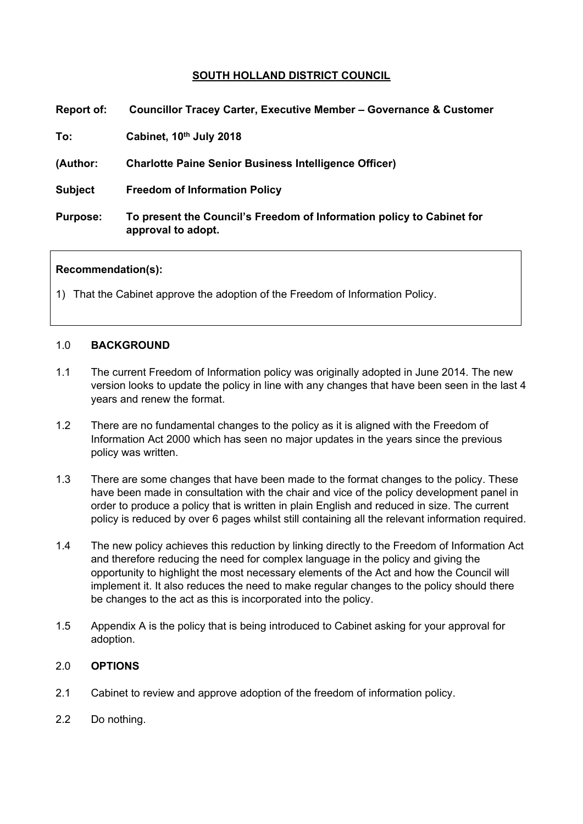# **SOUTH HOLLAND DISTRICT COUNCIL**

| <b>Report of:</b> | <b>Councillor Tracey Carter, Executive Member - Governance &amp; Customer</b>               |
|-------------------|---------------------------------------------------------------------------------------------|
| To:               | Cabinet, 10th July 2018                                                                     |
| (Author:          | <b>Charlotte Paine Senior Business Intelligence Officer)</b>                                |
| <b>Subject</b>    | <b>Freedom of Information Policy</b>                                                        |
| <b>Purpose:</b>   | To present the Council's Freedom of Information policy to Cabinet for<br>approval to adopt. |

### **Recommendation(s):**

1) That the Cabinet approve the adoption of the Freedom of Information Policy.

#### 1.0 **BACKGROUND**

- 1.1 The current Freedom of Information policy was originally adopted in June 2014. The new version looks to update the policy in line with any changes that have been seen in the last 4 years and renew the format.
- 1.2 There are no fundamental changes to the policy as it is aligned with the Freedom of Information Act 2000 which has seen no major updates in the years since the previous policy was written.
- 1.3 There are some changes that have been made to the format changes to the policy. These have been made in consultation with the chair and vice of the policy development panel in order to produce a policy that is written in plain English and reduced in size. The current policy is reduced by over 6 pages whilst still containing all the relevant information required.
- 1.4 The new policy achieves this reduction by linking directly to the Freedom of Information Act and therefore reducing the need for complex language in the policy and giving the opportunity to highlight the most necessary elements of the Act and how the Council will implement it. It also reduces the need to make regular changes to the policy should there be changes to the act as this is incorporated into the policy.
- 1.5 Appendix A is the policy that is being introduced to Cabinet asking for your approval for adoption.

### 2.0 **OPTIONS**

- 2.1 Cabinet to review and approve adoption of the freedom of information policy.
- 2.2 Do nothing.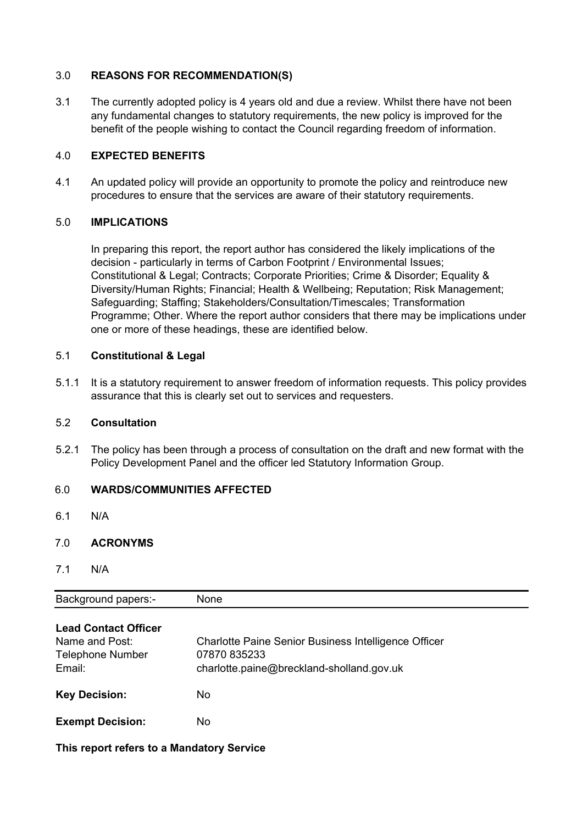## 3.0 **REASONS FOR RECOMMENDATION(S)**

3.1 The currently adopted policy is 4 years old and due a review. Whilst there have not been any fundamental changes to statutory requirements, the new policy is improved for the benefit of the people wishing to contact the Council regarding freedom of information.

### 4.0 **EXPECTED BENEFITS**

4.1 An updated policy will provide an opportunity to promote the policy and reintroduce new procedures to ensure that the services are aware of their statutory requirements.

## 5.0 **IMPLICATIONS**

In preparing this report, the report author has considered the likely implications of the decision - particularly in terms of Carbon Footprint / Environmental Issues; Constitutional & Legal; Contracts; Corporate Priorities; Crime & Disorder; Equality & Diversity/Human Rights; Financial; Health & Wellbeing; Reputation; Risk Management; Safeguarding; Staffing; Stakeholders/Consultation/Timescales; Transformation Programme; Other. Where the report author considers that there may be implications under one or more of these headings, these are identified below.

## 5.1 **Constitutional & Legal**

5.1.1 It is a statutory requirement to answer freedom of information requests. This policy provides assurance that this is clearly set out to services and requesters.

### 5.2 **Consultation**

5.2.1 The policy has been through a process of consultation on the draft and new format with the Policy Development Panel and the officer led Statutory Information Group.

# 6.0 **WARDS/COMMUNITIES AFFECTED**

6.1 N/A

# 7.0 **ACRONYMS**

7.1 N/A

| <b>Background papers:-</b>                                                         | None                                                                                                              |
|------------------------------------------------------------------------------------|-------------------------------------------------------------------------------------------------------------------|
| <b>Lead Contact Officer</b><br>Name and Post:<br><b>Telephone Number</b><br>Email: | Charlotte Paine Senior Business Intelligence Officer<br>07870 835233<br>charlotte.paine@breckland-sholland.gov.uk |
| <b>Key Decision:</b>                                                               | No.                                                                                                               |
| <b>Exempt Decision:</b>                                                            | No.                                                                                                               |

**This report refers to a Mandatory Service**